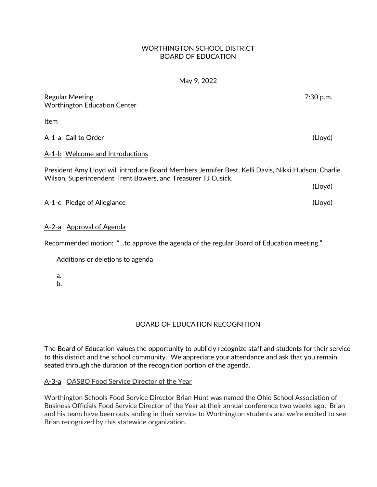## WORTHINGTON SCHOOL DISTRICT BOARD OF EDUCATION

## May 9, 2022

| <b>Regular Meeting</b><br><b>Worthington Education Center</b>                                                                                                       | 7:30 p.m. |
|---------------------------------------------------------------------------------------------------------------------------------------------------------------------|-----------|
| <u>Item</u>                                                                                                                                                         |           |
| A-1-a Call to Order                                                                                                                                                 | (Lloyd)   |
| A-1-b Welcome and Introductions                                                                                                                                     |           |
| President Amy Lloyd will introduce Board Members Jennifer Best, Kelli Davis, Nikki Hudson, Charlie<br>Wilson, Superintendent Trent Bowers, and Treasurer TJ Cusick. |           |
|                                                                                                                                                                     | (Lloyd)   |
| A-1-c Pledge of Allegiance                                                                                                                                          | (Lloyd)   |
| A-2-a Approval of Agenda                                                                                                                                            |           |
| Recommended motion: "to approve the agenda of the regular Board of Education meeting."                                                                              |           |

Additions or deletions to agenda

a. b. <u>\_\_\_\_\_\_\_\_\_\_\_\_\_\_\_\_\_\_\_\_\_</u>

# BOARD OF EDUCATION RECOGNITION

The Board of Education values the opportunity to publicly recognize staff and students for their service to this district and the school community. We appreciate your attendance and ask that you remain seated through the duration of the recognition portion of the agenda.

# A-3-a OASBO Food Service Director of the Year

Worthington Schools Food Service Director Brian Hunt was named the Ohio School Association of Business Officials Food Service Director of the Year at their annual conference two weeks ago. Brian and his team have been outstanding in their service to Worthington students and we're excited to see Brian recognized by this statewide organization.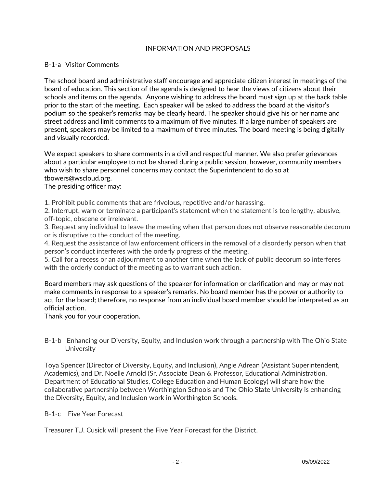## INFORMATION AND PROPOSALS

## B-1-a Visitor Comments

The school board and administrative staff encourage and appreciate citizen interest in meetings of the board of education. This section of the agenda is designed to hear the views of citizens about their schools and items on the agenda. Anyone wishing to address the board must sign up at the back table prior to the start of the meeting. Each speaker will be asked to address the board at the visitor's podium so the speaker's remarks may be clearly heard. The speaker should give his or her name and street address and limit comments to a maximum of five minutes. If a large number of speakers are present, speakers may be limited to a maximum of three minutes. The board meeting is being digitally and visually recorded.

We expect speakers to share comments in a civil and respectful manner. We also prefer grievances about a particular employee to not be shared during a public session, however, community members who wish to share personnel concerns may contact the Superintendent to do so at tbowers@wscloud.org.

## The presiding officer may:

1. Prohibit public comments that are frivolous, repetitive and/or harassing.

2. Interrupt, warn or terminate a participant's statement when the statement is too lengthy, abusive, off-topic, obscene or irrelevant.

3. Request any individual to leave the meeting when that person does not observe reasonable decorum or is disruptive to the conduct of the meeting.

4. Request the assistance of law enforcement officers in the removal of a disorderly person when that person's conduct interferes with the orderly progress of the meeting.

5. Call for a recess or an adjournment to another time when the lack of public decorum so interferes with the orderly conduct of the meeting as to warrant such action.

Board members may ask questions of the speaker for information or clarification and may or may not make comments in response to a speaker's remarks. No board member has the power or authority to act for the board; therefore, no response from an individual board member should be interpreted as an official action.

Thank you for your cooperation.

## B-1-b Enhancing our Diversity, Equity, and Inclusion work through a partnership with The Ohio State **University**

Toya Spencer (Director of Diversity, Equity, and Inclusion), Angie Adrean (Assistant Superintendent, Academics), and Dr. Noelle Arnold (Sr. Associate Dean & Professor, Educational Administration, Department of Educational Studies, College Education and Human Ecology) will share how the collaborative partnership between Worthington Schools and The Ohio State University is enhancing the Diversity, Equity, and Inclusion work in Worthington Schools.

## B-1-c Five Year Forecast

Treasurer T.J. Cusick will present the Five Year Forecast for the District.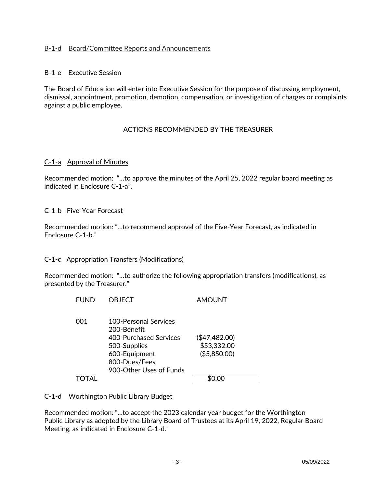## B-1-d Board/Committee Reports and Announcements

## B-1-e Executive Session

The Board of Education will enter into Executive Session for the purpose of discussing employment, dismissal, appointment, promotion, demotion, compensation, or investigation of charges or complaints against a public employee.

## ACTIONS RECOMMENDED BY THE TREASURER

#### C-1-a Approval of Minutes

Recommended motion: "…to approve the minutes of the April 25, 2022 regular board meeting as indicated in Enclosure C-1-a".

#### C-1-b Five-Year Forecast

Recommended motion: "…to recommend approval of the Five-Year Forecast, as indicated in Enclosure C-1-b."

#### C-1-c Appropriation Transfers (Modifications)

Recommended motion: "…to authorize the following appropriation transfers (modifications), as presented by the Treasurer."

| <b>FUND</b> | OBJECT                                                                                                                                      | AMOUNT                                       |
|-------------|---------------------------------------------------------------------------------------------------------------------------------------------|----------------------------------------------|
| 001         | 100-Personal Services<br>200-Benefit<br>400-Purchased Services<br>500-Supplies<br>600-Equipment<br>800-Dues/Fees<br>900-Other Uses of Funds | (\$47,482.00)<br>\$53,332.00<br>(\$5,850.00) |
|             |                                                                                                                                             |                                              |

#### C-1-d Worthington Public Library Budget

Recommended motion: "…to accept the 2023 calendar year budget for the Worthington Public Library as adopted by the Library Board of Trustees at its April 19, 2022, Regular Board Meeting, as indicated in Enclosure C-1-d."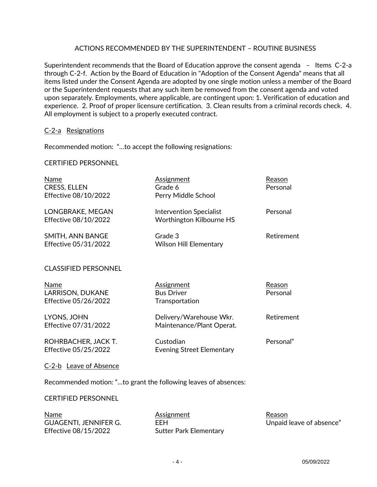## ACTIONS RECOMMENDED BY THE SUPERINTENDENT – ROUTINE BUSINESS

Superintendent recommends that the Board of Education approve the consent agenda – Items C-2-a through C-2-f. Action by the Board of Education in "Adoption of the Consent Agenda" means that all items listed under the Consent Agenda are adopted by one single motion unless a member of the Board or the Superintendent requests that any such item be removed from the consent agenda and voted upon separately. Employments, where applicable, are contingent upon: 1. Verification of education and experience. 2. Proof of proper licensure certification. 3. Clean results from a criminal records check. 4. All employment is subject to a properly executed contract.

### C-2-a Resignations

Recommended motion: "…to accept the following resignations:

#### CERTIFIED PERSONNEL

| <b>Name</b><br><b>CRESS, ELLEN</b><br>Effective 08/10/2022 | Assignment<br>Grade 6<br>Perry Middle School               | Reason<br>Personal |
|------------------------------------------------------------|------------------------------------------------------------|--------------------|
| LONGBRAKE, MEGAN<br>Effective 08/10/2022                   | <b>Intervention Specialist</b><br>Worthington Kilbourne HS | Personal           |
| SMITH, ANN BANGE<br>Effective 05/31/2022                   | Grade 3<br><b>Wilson Hill Elementary</b>                   | Retirement         |
| <b>CLASSIFIED PERSONNEL</b>                                |                                                            |                    |
|                                                            |                                                            |                    |
| Name<br>LARRISON, DUKANE<br>Effective 05/26/2022           | <b>Assignment</b><br><b>Bus Driver</b><br>Transportation   | Reason<br>Personal |
| LYONS, JOHN<br>Effective 07/31/2022                        | Delivery/Warehouse Wkr.<br>Maintenance/Plant Operat.       | Retirement         |
| ROHRBACHER, JACK T.<br>Effective 05/25/2022                | Custodian<br><b>Evening Street Elementary</b>              | Personal"          |

Recommended motion: "…to grant the following leaves of absences:

#### CERTIFIED PERSONNEL

Name **Assignment** Assignment Reason GUAGENTI, JENNIFER G. THE EEH Unpaid leave of absence" Effective 08/15/2022 Sutter Park Elementary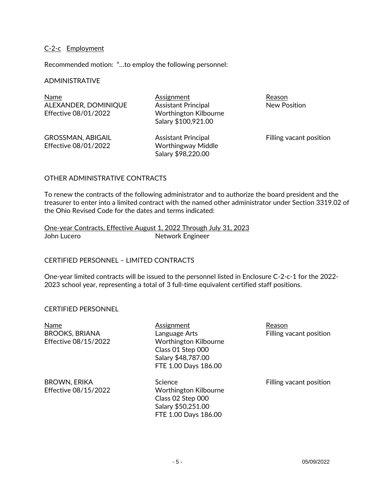## C-2-c Employment

Recommended motion: "…to employ the following personnel:

#### ADMINISTRATIVE

Name **Assignment** Assignment Reason ALEXANDER, DOMINIQUE Assistant Principal New Position Effective 08/01/2022 Worthington Kilbourne

Salary \$100,921.00

GROSSMAN, ABIGAIL **Assistant Principal** Filling vacant position Effective 08/01/2022 Worthingway Middle

Salary \$98,220.00

#### OTHER ADMINISTRATIVE CONTRACTS

To renew the contracts of the following administrator and to authorize the board president and the treasurer to enter into a limited contract with the named other administrator under Section 3319.02 of the Ohio Revised Code for the dates and terms indicated:

One-year Contracts, Effective August 1, 2022 Through July 31, 2023 John Lucero **Network** Engineer

#### CERTIFIED PERSONNEL – LIMITED CONTRACTS

One-year limited contracts will be issued to the personnel listed in Enclosure C-2-c-1 for the 2022- 2023 school year, representing a total of 3 full-time equivalent certified staff positions.

#### CERTIFIED PERSONNEL

Name **Assignment** Assignment Reason

BROOKS, BRIANA Language Arts Filling vacant position Effective 08/15/2022 Worthington Kilbourne Class 01 Step 000 Salary \$48,787.00 FTE 1.00 Days 186.00

BROWN, ERIKA Science Science Filling vacant position Effective 08/15/2022 Worthington Kilbourne Class 02 Step 000 Salary \$50,251.00 FTE 1.00 Days 186.00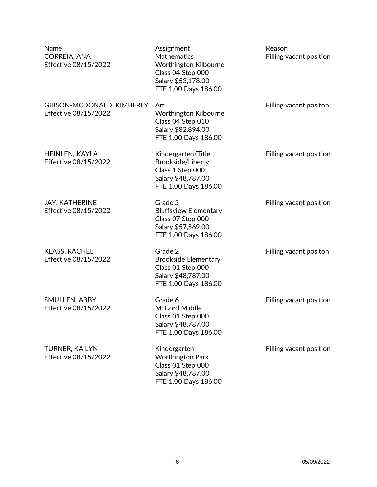| Name<br>CORREIA, ANA<br>Effective 08/15/2022      | <b>Assignment</b><br>Mathematics<br><b>Worthington Kilbourne</b><br>Class 04 Step 000<br>Salary \$53,178.00<br>FTE 1.00 Days 186.00 | Reason<br>Filling vacant position |
|---------------------------------------------------|-------------------------------------------------------------------------------------------------------------------------------------|-----------------------------------|
| GIBSON-MCDONALD, KIMBERLY<br>Effective 08/15/2022 | Art<br><b>Worthington Kilbourne</b><br>Class 04 Step 010<br>Salary \$82,894.00<br>FTE 1.00 Days 186.00                              | Filling vacant positon            |
| HEINLEN, KAYLA<br>Effective 08/15/2022            | Kindergarten/Title<br>Brookside/Liberty<br>Class 1 Step 000<br>Salary \$48,787.00<br>FTE 1.00 Days 186.00                           | Filling vacant position           |
| <b>JAY, KATHERINE</b><br>Effective 08/15/2022     | Grade 5<br><b>Bluffsview Elementary</b><br>Class 07 Step 000<br>Salary \$57,569.00<br>FTE 1.00 Days 186.00                          | Filling vacant position           |
| <b>KLASS, RACHEL</b><br>Effective 08/15/2022      | Grade 2<br><b>Brookside Elementary</b><br>Class 01 Step 000<br>Salary \$48,787.00<br>FTE 1.00 Days 186.00                           | Filling vacant positon            |
| SMULLEN, ABBY<br>Effective 08/15/2022             | Grade 6<br>McCord Middle<br>Class 01 Step 000<br>Salary \$48,787.00<br>FTE 1.00 Days 186.00                                         | Filling vacant position           |
| <b>TURNER, KAILYN</b><br>Effective 08/15/2022     | Kindergarten<br><b>Worthington Park</b><br>Class 01 Step 000<br>Salary \$48,787.00                                                  | Filling vacant position           |

FTE 1.00 Days 186.00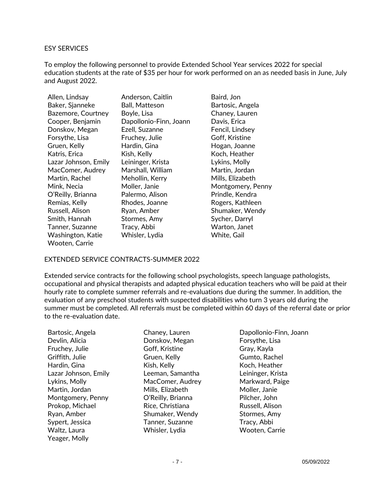#### ESY SERVICES

To employ the following personnel to provide Extended School Year services 2022 for special education students at the rate of \$35 per hour for work performed on an as needed basis in June, July and August 2022.

| Allen, Lindsay       | Anderson, Caitlin      | Baird, Jon        |
|----------------------|------------------------|-------------------|
| Baker, Sjanneke      | <b>Ball, Matteson</b>  | Bartosic, Angela  |
| Bazemore, Courtney   | Boyle, Lisa            | Chaney, Lauren    |
| Cooper, Benjamin     | Dapollonio-Finn, Joann | Davis, Erica      |
| Donskov, Megan       | Ezell, Suzanne         | Fencil, Lindsey   |
| Forsythe, Lisa       | Fruchey, Julie         | Goff, Kristine    |
| Gruen, Kelly         | Hardin, Gina           | Hogan, Joanne     |
| Katris, Erica        | Kish, Kelly            | Koch, Heather     |
| Lazar Johnson, Emily | Leininger, Krista      | Lykins, Molly     |
| MacComer, Audrey     | Marshall, William      | Martin, Jordan    |
| Martin, Rachel       | Mehollin, Kerry        | Mills, Elizabeth  |
| Mink, Necia          | Moller, Janie          | Montgomery, Penny |
| O'Reilly, Brianna    | Palermo, Alison        | Prindle, Kendra   |
| Remias, Kelly        | Rhodes, Joanne         | Rogers, Kathleen  |
| Russell, Alison      | Ryan, Amber            | Shumaker, Wendy   |
| Smith, Hannah        | Stormes, Amy           | Sycher, Darryl    |
| Tanner, Suzanne      | Tracy, Abbi            | Warton, Janet     |
| Washington, Katie    | Whisler, Lydia         | White, Gail       |
| Wooten, Carrie       |                        |                   |

#### EXTENDED SERVICE CONTRACTS-SUMMER 2022

Extended service contracts for the following school psychologists, speech language pathologists, occupational and physical therapists and adapted physical education teachers who will be paid at their hourly rate to complete summer referrals and re-evaluations due during the summer. In addition, the evaluation of any preschool students with suspected disabilities who turn 3 years old during the summer must be completed. All referrals must be completed within 60 days of the referral date or prior to the re-evaluation date.

Bartosic, Angela Chaney, Lauren Dapollonio-Finn, Joann Devlin, Alicia Donskov, Megan Forsythe, Lisa Fruchey, Julie Goff, Kristine Gray, Kayla Griffith, Julie Gruen, Kelly Gumto, Rachel Hardin, Gina Kish, Kelly Koch, Heather Lazar Johnson, Emily Leeman, Samantha Leininger, Krista Lykins, Molly MacComer, Audrey Markward, Paige Martin, Jordan Mills, Elizabeth Moller, Janie Montgomery, Penny **O'Reilly, Brianna** Pilcher, John Prokop, Michael **Rice, Christiana** Russell, Alison Ryan, Amber Shumaker, Wendy Stormes, Amy Sypert, Jessica Tanner, Suzanne Tracy, Abbi Waltz, Laura Whisler, Lydia Wooten, Carrie Yeager, Molly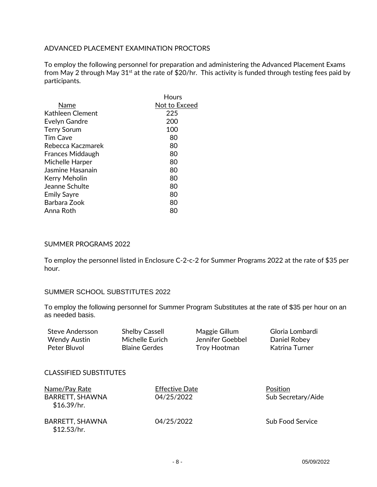## ADVANCED PLACEMENT EXAMINATION PROCTORS

To employ the following personnel for preparation and administering the Advanced Placement Exams from May 2 through May 31<sup>st</sup> at the rate of \$20/hr. This activity is funded through testing fees paid by participants.

|                         | Hours         |
|-------------------------|---------------|
| Name                    | Not to Exceed |
| Kathleen Clement        | 225           |
| Evelyn Gandre           | 200           |
| <b>Terry Sorum</b>      | 100           |
| <b>Tim Cave</b>         | 80            |
| Rebecca Kaczmarek       | 80            |
| <b>Frances Middaugh</b> | 80            |
| Michelle Harper         | 80            |
| Jasmine Hasanain        | 80            |
| Kerry Meholin           | 80            |
| Jeanne Schulte          | 80            |
| <b>Emily Sayre</b>      | 80            |
| Barbara Zook            | 80            |
| Anna Roth               | 80            |

### SUMMER PROGRAMS 2022

To employ the personnel listed in Enclosure C-2-c-2 for Summer Programs 2022 at the rate of \$35 per hour.

#### SUMMER SCHOOL SUBSTITUTES 2022

To employ the following personnel for Summer Program Substitutes at the rate of \$35 per hour on an as needed basis.

| Steve Andersson | <b>Shelby Cassell</b> | Maggie Gillum    | Gloria Lombardi |
|-----------------|-----------------------|------------------|-----------------|
| Wendy Austin    | Michelle Eurich       | Jennifer Goebbel | Daniel Robey    |
| Peter Bluvol    | <b>Blaine Gerdes</b>  | Troy Hootman     | Katrina Turner  |

#### CLASSIFIED SUBSTITUTES

| Name/Pay Rate<br>BARRETT, SHAWNA<br>\$16.39/hr. | <b>Effective Date</b><br>04/25/2022 | Position<br>Sub Secretary/Aide |
|-------------------------------------------------|-------------------------------------|--------------------------------|
| BARRETT, SHAWNA<br>\$12.53/hr.                  | 04/25/2022                          | <b>Sub Food Service</b>        |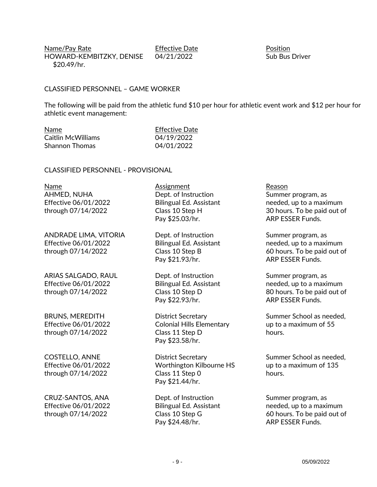Name/Pay Rate **Effective Date** Position HOWARD-KEMBITZKY, DENISE 04/21/2022 Sub Bus Driver \$20.49/hr.

### CLASSIFIED PERSONNEL – GAME WORKER

The following will be paid from the athletic fund \$10 per hour for athletic event work and \$12 per hour for athletic event management:

| Name                  | <b>Effective Date</b> |
|-----------------------|-----------------------|
| Caitlin McWilliams    | 04/19/2022            |
| <b>Shannon Thomas</b> | 04/01/2022            |

#### CLASSIFIED PERSONNEL - PROVISIONAL

Name **Assignment** Reason AHMED, NUHA Dept. of Instruction Summer program, as

ANDRADE LIMA, VITORIA Dept. of Instruction Summer program, as Effective 06/01/2022 Bilingual Ed. Assistant needed, up to a maximum

ARIAS SALGADO, RAUL **Dept.** of Instruction Summer program, as

Pay \$25.03/hr. ARP ESSER Funds.

Pay \$21.93/hr. ARP ESSER Funds.

Pay \$22.93/hr. ARP ESSER Funds.

Effective 06/01/2022 Colonial Hills Elementary up to a maximum of 55 through 07/14/2022 Class 11 Step D hours. Pay \$23.58/hr.

COSTELLO, ANNE **District Secretary** Summer School as needed, Effective 06/01/2022 Worthington Kilbourne HS up to a maximum of 135 through 07/14/2022 Class 11 Step 0 class 10 hours. Pay \$21.44/hr.

CRUZ-SANTOS, ANA Dept. of Instruction Summer program, as Pay \$24.48/hr. ARP ESSER Funds.

Effective 06/01/2022 Bilingual Ed. Assistant needed, up to a maximum through 07/14/2022 Class 10 Step H 30 hours. To be paid out of

through 07/14/2022 Class 10 Step B 60 hours. To be paid out of

Effective 06/01/2022 Bilingual Ed. Assistant needed, up to a maximum through 07/14/2022 Class 10 Step D 80 hours. To be paid out of

BRUNS, MEREDITH **District Secretary** Summer School as needed,

Effective 06/01/2022 Bilingual Ed. Assistant needed, up to a maximum through 07/14/2022 Class 10 Step G 60 hours. To be paid out of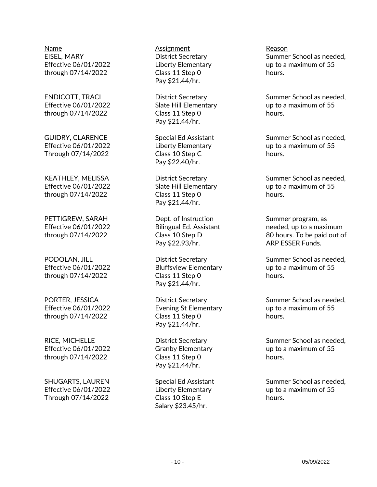Name **Assignment** Assignment Reason through 07/14/2022 Class 11 Step 0 class 10 hours.

through 07/14/2022 Class 11 Step 0 class 10 hours.

Through 07/14/2022 Class 10 Step C controller the hours.

through 07/14/2022 Class 11 Step 0 class 10 hours.

through 07/14/2022 Class 11 Step 0 class 10 hours.

Through 07/14/2022 Class 10 Step E hours.

Pay \$21.44/hr.

Pay \$21.44/hr.

Pay \$22.40/hr.

Pay \$21.44/hr.

PETTIGREW, SARAH Dept. of Instruction Dept. Summer program, as Pay \$22.93/hr. ARP ESSER Funds.

through 07/14/2022 Class 11 Step 0 class 10 hours. Pay \$21.44/hr.

through 07/14/2022 Class 11 Step 0 class 10 hours. Pay \$21.44/hr.

Pay \$21.44/hr.

Salary \$23.45/hr.

EISEL, MARY **EXALL ARRY CONSTRUSTED SUMMER SCHOOL AS NEEDSTAND** District Secretary Summer School as needed, Effective 06/01/2022 Liberty Elementary up to a maximum of 55

ENDICOTT, TRACI **ENDICOTT, District Secretary** Summer School as needed, Effective 06/01/2022 Slate Hill Elementary up to a maximum of 55

GUIDRY, CLARENCE Special Ed Assistant Summer School as needed, Effective 06/01/2022 Liberty Elementary up to a maximum of 55

KEATHLEY, MELISSA **Example 20 District Secretary** Summer School as needed, Effective 06/01/2022 Slate Hill Elementary up to a maximum of 55

Effective 06/01/2022 Bilingual Ed. Assistant needed, up to a maximum through 07/14/2022 Class 10 Step D 80 hours. To be paid out of

PODOLAN, JILL **EXECUTE:** District Secretary Summer School as needed, Effective 06/01/2022 Bluffsview Elementary up to a maximum of 55

PORTER, JESSICA **District Secretary** Summer School as needed, Effective 06/01/2022 Evening St Elementary up to a maximum of 55

RICE, MICHELLE **Example 20 District Secretary** Summer School as needed, Effective 06/01/2022 Granby Elementary up to a maximum of 55

SHUGARTS, LAUREN Special Ed Assistant Summer School as needed, Effective 06/01/2022 Liberty Elementary up to a maximum of 55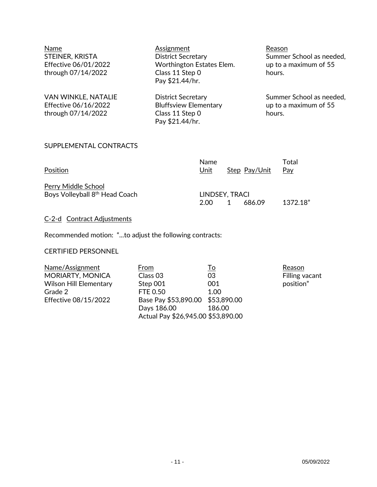| Name<br>STEINER, KRISTA<br>Effective 06/01/2022<br>through 07/14/2022 | Assignment<br><b>District Secretary</b><br>Worthington Estates Elem.<br>Class 11 Step 0<br>Pay \$21.44/hr. | Reason<br>Summer School as needed,<br>up to a maximum of 55<br>hours. |
|-----------------------------------------------------------------------|------------------------------------------------------------------------------------------------------------|-----------------------------------------------------------------------|
| VAN WINKLE, NATALIE<br>Effective 06/16/2022<br>through 07/14/2022     | <b>District Secretary</b><br><b>Bluffsview Elementary</b><br>Class 11 Step 0<br>Pay \$21.44/hr.            | Summer School as needed,<br>up to a maximum of 55<br>hours.           |

## SUPPLEMENTAL CONTRACTS

|                                            | <b>Name</b>    |               | Total    |
|--------------------------------------------|----------------|---------------|----------|
| Position                                   | Unit           | Step Pay/Unit | Pav      |
| Perry Middle School                        |                |               |          |
| Boys Volleyball 8 <sup>th</sup> Head Coach | LINDSEY, TRACI |               |          |
|                                            | 2.00           | 686.09        | 1372.18" |

## C-2-d Contract Adjustments

Recommended motion: "...to adjust the following contracts:

## CERTIFIED PERSONNEL

| Name/Assignment               | From                               | <u>To</u> | Reason    |
|-------------------------------|------------------------------------|-----------|-----------|
| MORIARTY, MONICA              | Class <sub>03</sub>                | 03        | Filling v |
| <b>Wilson Hill Elementary</b> | Step 001                           | 001       | position  |
| Grade 2                       | <b>FTE 0.50</b>                    | 1.00      |           |
| Effective 08/15/2022          | Base Pay \$53,890.00 \$53,890.00   |           |           |
|                               | Days 186.00                        | 186.00    |           |
|                               | Actual Pay \$26,945.00 \$53,890.00 |           |           |

<u>Reason</u><br>Filling vacant position"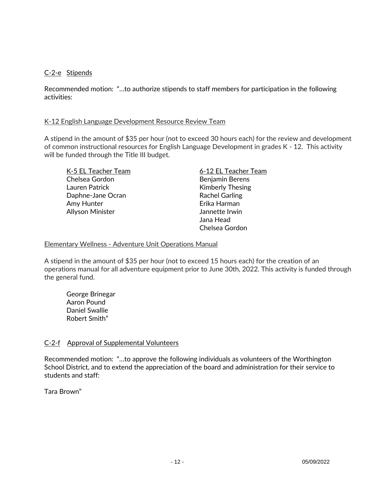## C-2-e Stipends

Recommended motion: "…to authorize stipends to staff members for participation in the following activities:

### K-12 English Language Development Resource Review Team

A stipend in the amount of \$35 per hour (not to exceed 30 hours each) for the review and development of common instructional resources for English Language Development in grades K - 12. This activity will be funded through the Title III budget.

Chelsea Gordon Benjamin Berens Lauren Patrick **Kimberly Thesing** Daphne-Jane Ocran Rachel Garling Amy Hunter **Amy Hunter** Erika Harman Allyson Minister **Allyson Minister** Jannette Irwin

K-5 EL Teacher Team 6-12 EL Teacher Team Jana Head Chelsea Gordon

#### Elementary Wellness - Adventure Unit Operations Manual

A stipend in the amount of \$35 per hour (not to exceed 15 hours each) for the creation of an operations manual for all adventure equipment prior to June 30th, 2022. This activity is funded through the general fund.

George Brinegar Aaron Pound Daniel Swallie Robert Smith"

## C-2-f Approval of Supplemental Volunteers

Recommended motion: "…to approve the following individuals as volunteers of the Worthington School District, and to extend the appreciation of the board and administration for their service to students and staff:

Tara Brown"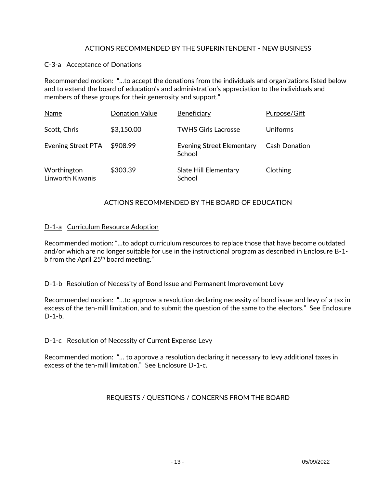## ACTIONS RECOMMENDED BY THE SUPERINTENDENT - NEW BUSINESS

## C-3-a Acceptance of Donations

Recommended motion: "...to accept the donations from the individuals and organizations listed below and to extend the board of education's and administration's appreciation to the individuals and members of these groups for their generosity and support."

| Name                            | <b>Donation Value</b> | Beneficiary                                | Purpose/Gift         |
|---------------------------------|-----------------------|--------------------------------------------|----------------------|
| Scott, Chris                    | \$3,150.00            | <b>TWHS Girls Lacrosse</b>                 | Uniforms             |
| <b>Evening Street PTA</b>       | \$908.99              | <b>Evening Street Elementary</b><br>School | <b>Cash Donation</b> |
| Worthington<br>Linworth Kiwanis | \$303.39              | Slate Hill Elementary<br>School            | Clothing             |

## ACTIONS RECOMMENDED BY THE BOARD OF EDUCATION

## D-1-a Curriculum Resource Adoption

Recommended motion: "…to adopt curriculum resources to replace those that have become outdated and/or which are no longer suitable for use in the instructional program as described in Enclosure B-1 b from the April 25<sup>th</sup> board meeting."

## D-1-b Resolution of Necessity of Bond Issue and Permanent Improvement Levy

Recommended motion: "…to approve a resolution declaring necessity of bond issue and levy of a tax in excess of the ten-mill limitation, and to submit the question of the same to the electors." See Enclosure D-1-b.

## D-1-c Resolution of Necessity of Current Expense Levy

Recommended motion: "… to approve a resolution declaring it necessary to levy additional taxes in excess of the ten-mill limitation." See Enclosure D-1-c.

## REQUESTS / QUESTIONS / CONCERNS FROM THE BOARD